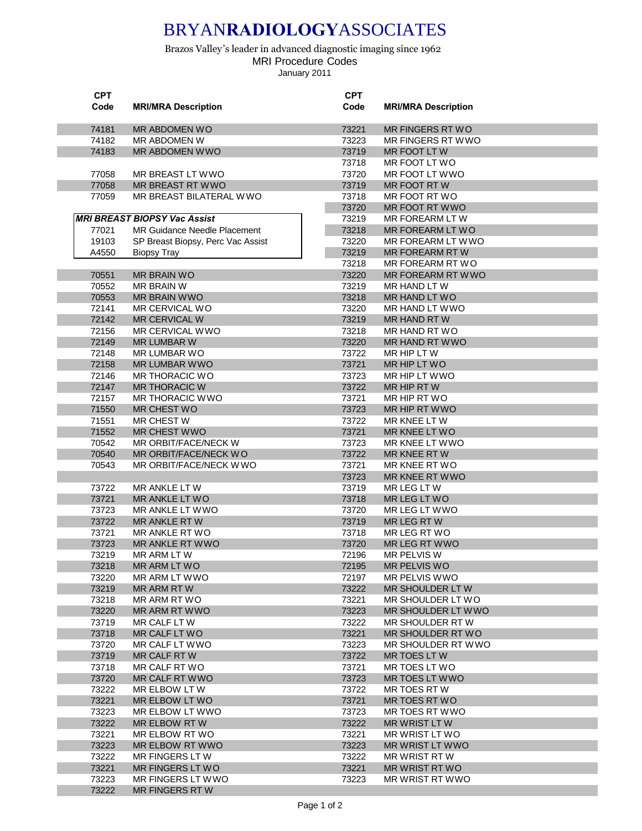## BRYAN**RADIOLOGY**ASSOCIATES

Brazos Valley's leader in advanced diagnostic imaging since 1962 MRI Procedure Codes January 2011

| <b>CPT</b> |                                     | <b>CPT</b> |                            |
|------------|-------------------------------------|------------|----------------------------|
| Code       | <b>MRI/MRA Description</b>          | Code       | <b>MRI/MRA Description</b> |
|            |                                     |            |                            |
| 74181      | MR ABDOMEN WO                       | 73221      | MR FINGERS RT WO           |
| 74182      | MR ABDOMEN W                        | 73223      | MR FINGERS RT WWO          |
|            |                                     |            |                            |
| 74183      | MR ABDOMEN WWO                      | 73719      | MR FOOT LTW                |
|            |                                     | 73718      | MR FOOT LT WO              |
| 77058      | MR BREAST LT WWO                    | 73720      | MR FOOT LT WWO             |
| 77058      | MR BREAST RT WWO                    | 73719      | MR FOOT RTW                |
| 77059      | MR BREAST BILATERAL WWO             | 73718      | MR FOOT RT WO              |
|            |                                     | 73720      | MR FOOT RT WWO             |
|            | <b>MRI BREAST BIOPSY Vac Assist</b> | 73219      | MR FOREARM LT W            |
| 77021      | <b>MR Guidance Needle Placement</b> | 73218      | MR FOREARM LT WO           |
| 19103      | SP Breast Biopsy, Perc Vac Assist   | 73220      | MR FOREARM LT WWO          |
| A4550      | <b>Biopsy Tray</b>                  | 73219      | MR FOREARM RTW             |
|            |                                     | 73218      | MR FOREARM RT WO           |
|            |                                     |            |                            |
| 70551      | <b>MR BRAIN WO</b>                  | 73220      | MR FOREARM RT WWO          |
| 70552      | MR BRAIN W                          | 73219      | MR HAND LT W               |
| 70553      | MR BRAIN WWO                        | 73218      | MR HAND LT WO              |
| 72141      | MR CERVICAL WO                      | 73220      | MR HAND LT WWO             |
| 72142      | MR CERVICAL W                       | 73219      | MR HAND RT W               |
| 72156      | MR CERVICAL WWO                     | 73218      | MR HAND RT WO              |
| 72149      | <b>MR LUMBAR W</b>                  | 73220      | MR HAND RT WWO             |
| 72148      | MR LUMBAR WO                        | 73722      | MR HIP LT W                |
| 72158      | MR LUMBAR WWO                       | 73721      | MR HIP LT WO               |
| 72146      | MR THORACIC WO                      | 73723      | MR HIP LT WWO              |
| 72147      | <b>MR THORACIC W</b>                | 73722      | MR HIP RT W                |
| 72157      | MR THORACIC WWO                     | 73721      | MR HIP RT WO               |
|            |                                     |            |                            |
| 71550      | MR CHEST WO                         | 73723      | MR HIP RT WWO              |
| 71551      | MR CHEST W                          | 73722      | MR KNEE LT W               |
| 71552      | <b>MR CHEST WWO</b>                 | 73721      | MR KNEE LT WO              |
| 70542      | MR ORBIT/FACE/NECK W                | 73723      | MR KNEE LT WWO             |
| 70540      | MR ORBIT/FACE/NECK WO               | 73722      | MR KNEE RT W               |
| 70543      | MR ORBIT/FACE/NECK WWO              | 73721      | MR KNEE RT WO              |
|            |                                     | 73723      | MR KNEE RT WWO             |
| 73722      | MR ANKLE LTW                        | 73719      | MR LEG LTW                 |
| 73721      | MR ANKLE LT WO                      | 73718      | MR LEG LT WO               |
| 73723      | MR ANKLE LT WWO                     | 73720      | MR LEG LT WWO              |
| 73722      | MR ANKLE RT W                       | 73719      | MR LEG RTW                 |
| 73721      | MR ANKLE RT WO                      | 73718      | MR LEG RT WO               |
| 73723      | MR ANKLE RT WWO                     | 73720      | MR LEG RT WWO              |
| 73219      | MR ARM LT W                         | 72196      | <b>MR PELVIS W</b>         |
| 73218      | MR ARM LT WO                        | 72195      | MR PELVIS WO               |
| 73220      | MR ARM LT WWO                       | 72197      | MR PELVIS WWO              |
| 73219      | MR ARM RTW                          | 73222      | MR SHOULDER LT W           |
| 73218      | MR ARM RT WO                        | 73221      | MR SHOULDER LT WO          |
| 73220      | MR ARM RT WWO                       | 73223      | MR SHOULDER LT WWO         |
| 73719      |                                     | 73222      |                            |
|            | MR CALF LT W                        |            | MR SHOULDER RT W           |
| 73718      | MR CALF LT WO                       | 73221      | MR SHOULDER RT WO          |
| 73720      | MR CALF LT WWO                      | 73223      | MR SHOULDER RT WWO         |
| 73719      | MR CALF RT W                        | 73722      | MR TOES LT W               |
| 73718      | MR CALF RT WO                       | 73721      | MR TOES LT WO              |
| 73720      | MR CALF RT WWO                      | 73723      | MR TOES LT WWO             |
| 73222      | MR ELBOW LT W                       | 73722      | MR TOES RT W               |
| 73221      | MR ELBOW LT WO                      | 73721      | MR TOES RT WO              |
| 73223      | MR ELBOW LT WWO                     | 73723      | MR TOES RT WWO             |
| 73222      | MR ELBOW RTW                        | 73222      | MR WRIST LT W              |
| 73221      | MR ELBOW RT WO                      | 73221      | MR WRIST LT WO             |
| 73223      | MR ELBOW RT WWO                     | 73223      | MR WRIST LT WWO            |
| 73222      | MR FINGERS LTW                      | 73222      | MR WRIST RTW               |
| 73221      | MR FINGERS LT WO                    | 73221      | MR WRIST RT WO             |
| 73223      | MR FINGERS LT WWO                   | 73223      | MR WRIST RT WWO            |
| 73222      | <b>MR FINGERS RTW</b>               |            |                            |